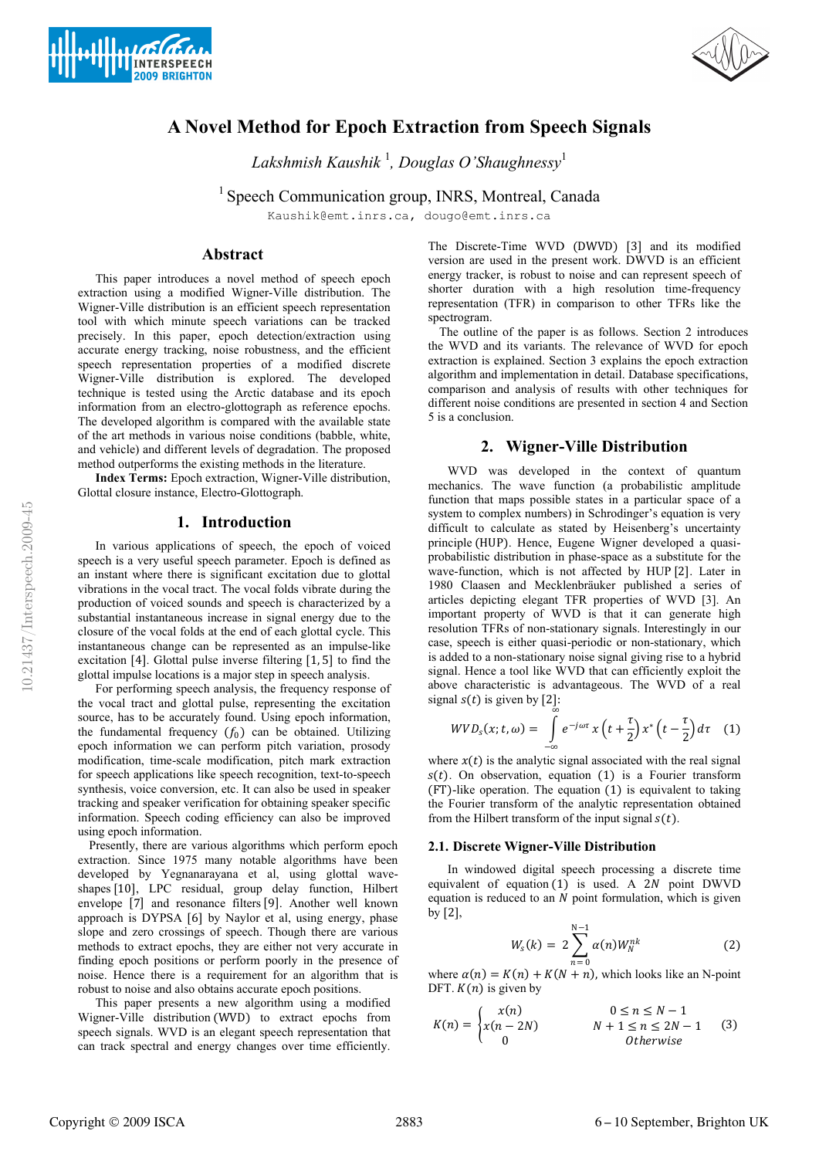



# **A Novel Method for Epoch Extraction from Speech Signals**

*Lakshmish Kaushik* <sup>1</sup> *, Douglas O'Shaughnessy*<sup>1</sup>

<sup>1</sup> Speech Communication group, INRS, Montreal, Canada

Kaushik@emt.inrs.ca, dougo@emt.inrs.ca

# **Abstract**

This paper introduces a novel method of speech epoch extraction using a modified Wigner-Ville distribution. The Wigner-Ville distribution is an efficient speech representation tool with which minute speech variations can be tracked precisely. In this paper, epoch detection/extraction using accurate energy tracking, noise robustness, and the efficient speech representation properties of a modified discrete Wigner-Ville distribution is explored. The developed technique is tested using the Arctic database and its epoch information from an electro-glottograph as reference epochs. The developed algorithm is compared with the available state of the art methods in various noise conditions (babble, white, and vehicle) and different levels of degradation. The proposed method outperforms the existing methods in the literature.

**Index Terms:** Epoch extraction, Wigner-Ville distribution, Glottal closure instance, Electro-Glottograph.

# **1. Introduction**

In various applications of speech, the epoch of voiced speech is a very useful speech parameter. Epoch is defined as an instant where there is significant excitation due to glottal vibrations in the vocal tract. The vocal folds vibrate during the production of voiced sounds and speech is characterized by a substantial instantaneous increase in signal energy due to the closure of the vocal folds at the end of each glottal cycle. This instantaneous change can be represented as an impulse-like excitation [4]. Glottal pulse inverse filtering [1, 5] to find the glottal impulse locations is a major step in speech analysis.

For performing speech analysis, the frequency response of the vocal tract and glottal pulse, representing the excitation source, has to be accurately found. Using epoch information, the fundamental frequency  $(f_0)$  can be obtained. Utilizing epoch information we can perform pitch variation, prosody modification, time-scale modification, pitch mark extraction for speech applications like speech recognition, text-to-speech synthesis, voice conversion, etc. It can also be used in speaker tracking and speaker verification for obtaining speaker specific information. Speech coding efficiency can also be improved using epoch information.

Presently, there are various algorithms which perform epoch extraction. Since 1975 many notable algorithms have been developed by Yegnanarayana et al, using glottal waveshapes [10], LPC residual, group delay function, Hilbert envelope [7] and resonance filters [9]. Another well known approach is DYPSA [6] by Naylor et al, using energy, phase slope and zero crossings of speech. Though there are various methods to extract epochs, they are either not very accurate in finding epoch positions or perform poorly in the presence of noise. Hence there is a requirement for an algorithm that is robust to noise and also obtains accurate epoch positions.

This paper presents a new algorithm using a modified Wigner-Ville distribution (WVD) to extract epochs from speech signals. WVD is an elegant speech representation that can track spectral and energy changes over time efficiently. The Discrete-Time WVD (DWVD) [3] and its modified version are used in the present work. DWVD is an efficient energy tracker, is robust to noise and can represent speech of shorter duration with a high resolution time-frequency representation (TFR) in comparison to other TFRs like the spectrogram.

The outline of the paper is as follows. Section 2 introduces the WVD and its variants. The relevance of WVD for epoch extraction is explained. Section 3 explains the epoch extraction algorithm and implementation in detail. Database specifications, comparison and analysis of results with other techniques for different noise conditions are presented in section 4 and Section 5 is a conclusion.

## **2. Wigner-Ville Distribution**

WVD was developed in the context of quantum mechanics. The wave function (a probabilistic amplitude function that maps possible states in a particular space of a system to complex numbers) in Schrodinger's equation is very difficult to calculate as stated by Heisenberg's uncertainty principle (HUP). Hence, Eugene Wigner developed a quasiprobabilistic distribution in phase-space as a substitute for the wave-function, which is not affected by HUP [2]. Later in 1980 Claasen and Mecklenbräuker published a series of articles depicting elegant TFR properties of WVD [3]. An important property of WVD is that it can generate high resolution TFRs of non-stationary signals. Interestingly in our case, speech is either quasi-periodic or non-stationary, which is added to a non-stationary noise signal giving rise to a hybrid signal. Hence a tool like WVD that can efficiently exploit the above characteristic is advantageous. The WVD of a real signal  $s(t)$  is given by [2]:

$$
WVD_{s}(x; t, \omega) = \int_{-\infty}^{\infty} e^{-j\omega \tau} x\left(t + \frac{\tau}{2}\right) x^{*}\left(t - \frac{\tau}{2}\right) d\tau \quad (1)
$$

where  $x(t)$  is the analytic signal associated with the real signal  $s(t)$ . On observation, equation (1) is a Fourier transform (FT)-like operation. The equation (1) is equivalent to taking the Fourier transform of the analytic representation obtained from the Hilbert transform of the input signal  $s(t)$ .

### **2.1. Discrete Wigner-Ville Distribution**

In windowed digital speech processing a discrete time equivalent of equation  $(1)$  is used. A 2N point DWVD equation is reduced to an  $N$  point formulation, which is given by [2],

$$
W_s(k) = 2 \sum_{n=0}^{N-1} \alpha(n) W_N^{nk}
$$
 (2)

where  $\alpha(n) = K(n) + K(N + n)$ , which looks like an N-point DFT.  $K(n)$  is given by

$$
K(n) = \begin{cases} x(n) & 0 \le n \le N - 1 \\ x(n - 2N) & N + 1 \le n \le 2N - 1 \\ 0 & Otherwise \end{cases} \tag{3}
$$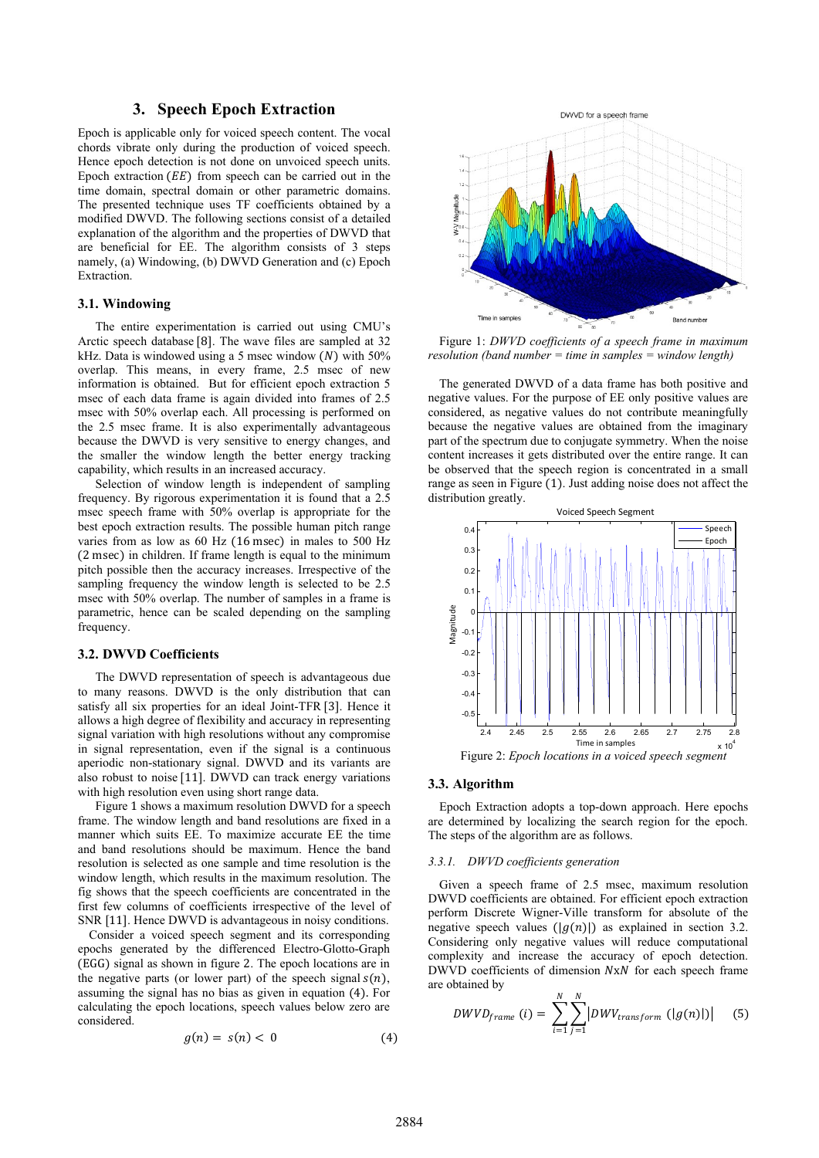# **3. Speech Epoch Extraction**

Epoch is applicable only for voiced speech content. The vocal chords vibrate only during the production of voiced speech. Hence epoch detection is not done on unvoiced speech units. Epoch extraction  $(EE)$  from speech can be carried out in the time domain, spectral domain or other parametric domains. The presented technique uses TF coefficients obtained by a modified DWVD. The following sections consist of a detailed explanation of the algorithm and the properties of DWVD that are beneficial for EE. The algorithm consists of 3 steps namely, (a) Windowing, (b) DWVD Generation and (c) Epoch Extraction.

### **3.1. Windowing**

The entire experimentation is carried out using CMU's Arctic speech database [8]. The wave files are sampled at 32 kHz. Data is windowed using a 5 msec window  $(N)$  with 50% overlap. This means, in every frame, 2.5 msec of new information is obtained. But for efficient epoch extraction 5 msec of each data frame is again divided into frames of 2.5 msec with 50% overlap each. All processing is performed on the 2.5 msec frame. It is also experimentally advantageous because the DWVD is very sensitive to energy changes, and the smaller the window length the better energy tracking capability, which results in an increased accuracy.

Selection of window length is independent of sampling frequency. By rigorous experimentation it is found that a 2.5 msec speech frame with 50% overlap is appropriate for the best epoch extraction results. The possible human pitch range varies from as low as 60 Hz (16 msec) in males to 500 Hz (2 msec) in children. If frame length is equal to the minimum pitch possible then the accuracy increases. Irrespective of the sampling frequency the window length is selected to be 2.5 msec with 50% overlap. The number of samples in a frame is parametric, hence can be scaled depending on the sampling frequency.

### **3.2. DWVD Coefficients**

The DWVD representation of speech is advantageous due to many reasons. DWVD is the only distribution that can satisfy all six properties for an ideal Joint-TFR [3]. Hence it allows a high degree of flexibility and accuracy in representing signal variation with high resolutions without any compromise in signal representation, even if the signal is a continuous aperiodic non-stationary signal. DWVD and its variants are also robust to noise [11]. DWVD can track energy variations with high resolution even using short range data.

Figure 1 shows a maximum resolution DWVD for a speech frame. The window length and band resolutions are fixed in a manner which suits EE. To maximize accurate EE the time and band resolutions should be maximum. Hence the band resolution is selected as one sample and time resolution is the window length, which results in the maximum resolution. The fig shows that the speech coefficients are concentrated in the first few columns of coefficients irrespective of the level of SNR [11]. Hence DWVD is advantageous in noisy conditions.

Consider a voiced speech segment and its corresponding epochs generated by the differenced Electro-Glotto-Graph (EGG) signal as shown in figure 2. The epoch locations are in the negative parts (or lower part) of the speech signal  $s(n)$ , assuming the signal has no bias as given in equation (4). For calculating the epoch locations, speech values below zero are considered.

$$
g(n) = s(n) < 0 \tag{4}
$$



Figure 1: *DWVD coefficients of a speech frame in maximum resolution (band number = time in samples = window length)*

The generated DWVD of a data frame has both positive and negative values. For the purpose of EE only positive values are considered, as negative values do not contribute meaningfully because the negative values are obtained from the imaginary part of the spectrum due to conjugate symmetry. When the noise content increases it gets distributed over the entire range. It can be observed that the speech region is concentrated in a small range as seen in Figure (1). Just adding noise does not affect the distribution greatly.



### **3.3. Algorithm**

Epoch Extraction adopts a top-down approach. Here epochs are determined by localizing the search region for the epoch. The steps of the algorithm are as follows.

#### *3.3.1. DWVD coefficients generation*

Given a speech frame of 2.5 msec, maximum resolution DWVD coefficients are obtained. For efficient epoch extraction perform Discrete Wigner-Ville transform for absolute of the negative speech values  $(|g(n)|)$  as explained in section 3.2. Considering only negative values will reduce computational complexity and increase the accuracy of epoch detection.  $DWVD$  coefficients of dimension  $NxN$  for each speech frame are obtained by

$$
DWVD_{frame} (i) = \sum_{i=1}^{N} \sum_{j=1}^{N} |DW_{transform} (|g(n)|)| \qquad (5)
$$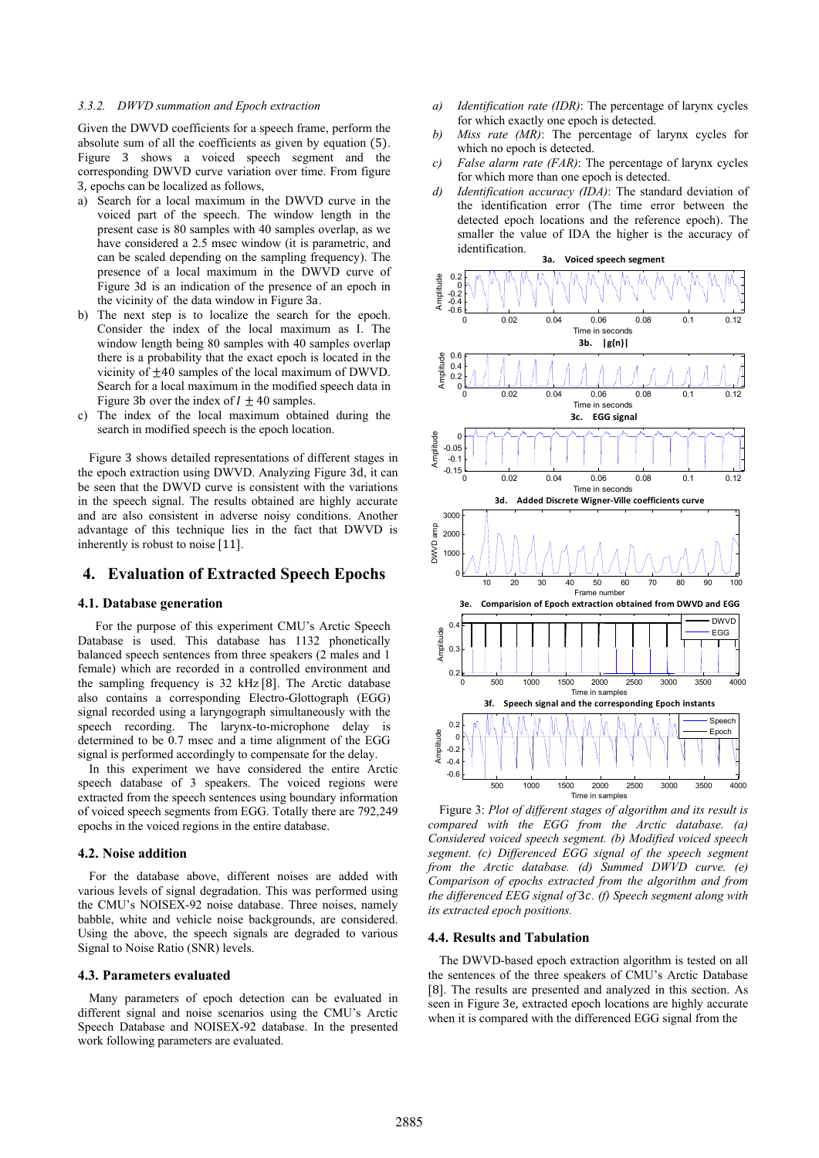#### *3.3.2. DWVD summation and Epoch extraction*

Given the DWVD coefficients for a speech frame, perform the absolute sum of all the coefficients as given by equation (5). Figure 3 shows a voiced speech segment and the corresponding DWVD curve variation over time. From figure 3, epochs can be localized as follows,

- a) Search for a local maximum in the DWVD curve in the voiced part of the speech. The window length in the present case is 80 samples with 40 samples overlap, as we have considered a 2.5 msec window (it is parametric, and can be scaled depending on the sampling frequency). The presence of a local maximum in the DWVD curve of Figure 3d is an indication of the presence of an epoch in the vicinity of the data window in Figure 3a.
- b) The next step is to localize the search for the epoch. Consider the index of the local maximum as I. The window length being 80 samples with 40 samples overlap there is a probability that the exact epoch is located in the vicinity of  $\pm 40$  samples of the local maximum of DWVD. Search for a local maximum in the modified speech data in Figure 3b over the index of  $I \pm 40$  samples.
- c) The index of the local maximum obtained during the search in modified speech is the epoch location.

Figure 3 shows detailed representations of different stages in the epoch extraction using DWVD. Analyzing Figure 3d, it can be seen that the DWVD curve is consistent with the variations in the speech signal. The results obtained are highly accurate and are also consistent in adverse noisy conditions. Another advantage of this technique lies in the fact that DWVD is inherently is robust to noise [11].

# **4. Evaluation of Extracted Speech Epochs**

### **4.1. Database generation**

For the purpose of this experiment CMU's Arctic Speech Database is used. This database has 1132 phonetically balanced speech sentences from three speakers (2 males and 1 female) which are recorded in a controlled environment and the sampling frequency is 32 kHz [8]. The Arctic database also contains a corresponding Electro-Glottograph (EGG) signal recorded using a laryngograph simultaneously with the speech recording. The larynx-to-microphone delay is determined to be 0.7 msec and a time alignment of the EGG signal is performed accordingly to compensate for the delay.

In this experiment we have considered the entire Arctic speech database of 3 speakers. The voiced regions were extracted from the speech sentences using boundary information of voiced speech segments from EGG. Totally there are 792,249 epochs in the voiced regions in the entire database.

### **4.2. Noise addition**

For the database above, different noises are added with various levels of signal degradation. This was performed using the CMU's NOISEX-92 noise database. Three noises, namely babble, white and vehicle noise backgrounds, are considered. Using the above, the speech signals are degraded to various Signal to Noise Ratio (SNR) levels.

#### **4.3. Parameters evaluated**

Many parameters of epoch detection can be evaluated in different signal and noise scenarios using the CMU's Arctic Speech Database and NOISEX-92 database. In the presented work following parameters are evaluated.

- *a) Identification rate (IDR)*: The percentage of larynx cycles for which exactly one epoch is detected.
- *b) Miss rate (MR)*: The percentage of larynx cycles for which no epoch is detected.
- *c) False alarm rate (FAR)*: The percentage of larynx cycles for which more than one epoch is detected.
- *d) Identification accuracy (IDA)*: The standard deviation of the identification error (The time error between the detected epoch locations and the reference epoch). The smaller the value of IDA the higher is the accuracy of identification.



Figure 3: *Plot of different stages of algorithm and its result is compared with the EGG from the Arctic database. (a) Considered voiced speech segment. (b) Modified voiced speech segment. (c) Differenced EGG signal of the speech segment from the Arctic database. (d) Summed DWVD curve. (e) Comparison of epochs extracted from the algorithm and from the differenced EEG signal of* 3*. (f) Speech segment along with its extracted epoch positions.*

### **4.4. Results and Tabulation**

The DWVD-based epoch extraction algorithm is tested on all the sentences of the three speakers of CMU's Arctic Database [8]. The results are presented and analyzed in this section. As seen in Figure 3e, extracted epoch locations are highly accurate when it is compared with the differenced EGG signal from the